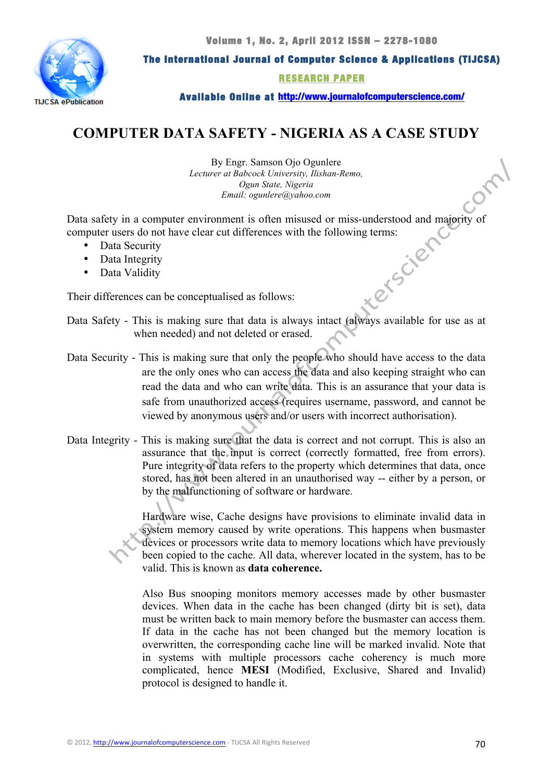

The International Journal of Computer Science & Applications (TIJCSA)

RESEARCH PAPER

Available Online at http://www.journalofcomputerscience.com/

# **COMPUTER DATA SAFETY - NIGERIA AS A CASE STUDY**

By Engr. Samson Ojo Ogunlere *Lecturer at Babcock University, Ilishan-Remo, Ogun State, Nigeria Email: ogunlere@yahoo.com*

Data safety in a computer environment is often misused or miss-understood and majority of<br>
computer users do not have clear cut differences with the following terms:<br>
Data Security<br>
Data Integrity<br>
Data Validity<br>
Deta<br>
Det computer users do not have clear cut differences with the following terms:

- Data Security
- Data Integrity
- Data Validity

Their differences can be conceptualised as follows:

- Data Safety This is making sure that data is always intact (always available for use as at when needed) and not deleted or erased.
- Data Security This is making sure that only the people who should have access to the data are the only ones who can access the data and also keeping straight who can read the data and who can write data. This is an assurance that your data is safe from unauthorized access (requires username, password, and cannot be viewed by anonymous users and/or users with incorrect authorisation).
- Data Integrity This is making sure that the data is correct and not corrupt. This is also an assurance that the input is correct (correctly formatted, free from errors). Pure integrity of data refers to the property which determines that data, once stored, has not been altered in an unauthorised way -- either by a person, or by the malfunctioning of software or hardware.

Hardware wise, Cache designs have provisions to eliminate invalid data in system memory caused by write operations. This happens when busmaster devices or processors write data to memory locations which have previously been copied to the cache. All data, wherever located in the system, has to be valid. This is known as **data coherence.**

Also Bus snooping monitors memory accesses made by other busmaster devices. When data in the cache has been changed (dirty bit is set), data must be written back to main memory before the busmaster can access them. If data in the cache has not been changed but the memory location is overwritten, the corresponding cache line will be marked invalid. Note that in systems with multiple processors cache coherency is much more complicated, hence **MESI** (Modified, Exclusive, Shared and Invalid) protocol is designed to handle it.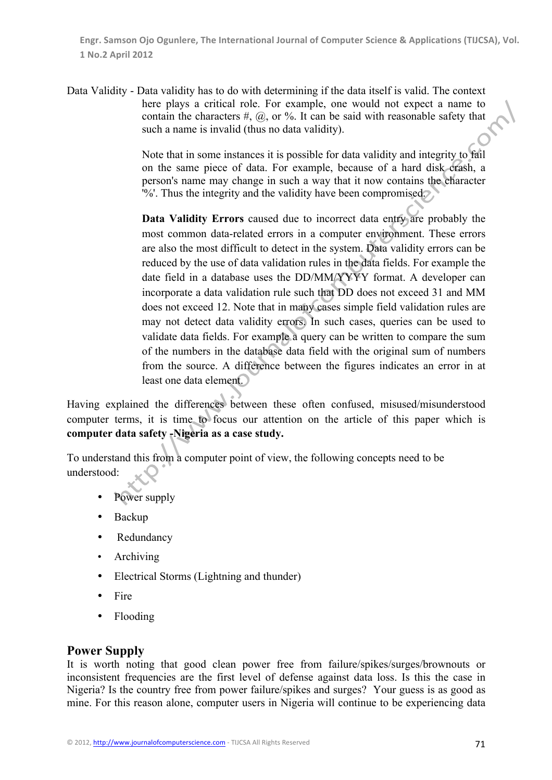Data Validity - Data validity has to do with determining if the data itself is valid. The context here plays a critical role. For example, one would not expect a name to contain the characters  $#$ ,  $\omega$ , or %. It can be said with reasonable safety that such a name is invalid (thus no data validity).

> Note that in some instances it is possible for data validity and integrity to fail on the same piece of data. For example, because of a hard disk crash, a person's name may change in such a way that it now contains the character '%'. Thus the integrity and the validity have been compromised.

> **Data Validity Errors** caused due to incorrect data entry are probably the most common data-related errors in a computer environment. These errors are also the most difficult to detect in the system. Data validity errors can be reduced by the use of data validation rules in the data fields. For example the date field in a database uses the DD/MM/YYYY format. A developer can incorporate a data validation rule such that DD does not exceed 31 and MM does not exceed 12. Note that in many cases simple field validation rules are may not detect data validity errors. In such cases, queries can be used to validate data fields. For example a query can be written to compare the sum of the numbers in the database data field with the original sum of numbers from the source. A difference between the figures indicates an error in at least one data element.

Having explained the differences between these often confused, misused/misunderstood computer terms, it is time to focus our attention on the article of this paper which is **computer data safety -Nigeria as a case study.**

To understand this from a computer point of view, the following concepts need to be understood:

- Power supply
- Backup
- Redundancy
- Archiving
- Electrical Storms (Lightning and thunder)
- Fire
- Flooding

# **Power Supply**

It is worth noting that good clean power free from failure/spikes/surges/brownouts or inconsistent frequencies are the first level of defense against data loss. Is this the case in Nigeria? Is the country free from power failure/spikes and surges? Your guess is as good as mine. For this reason alone, computer users in Nigeria will continue to be experiencing data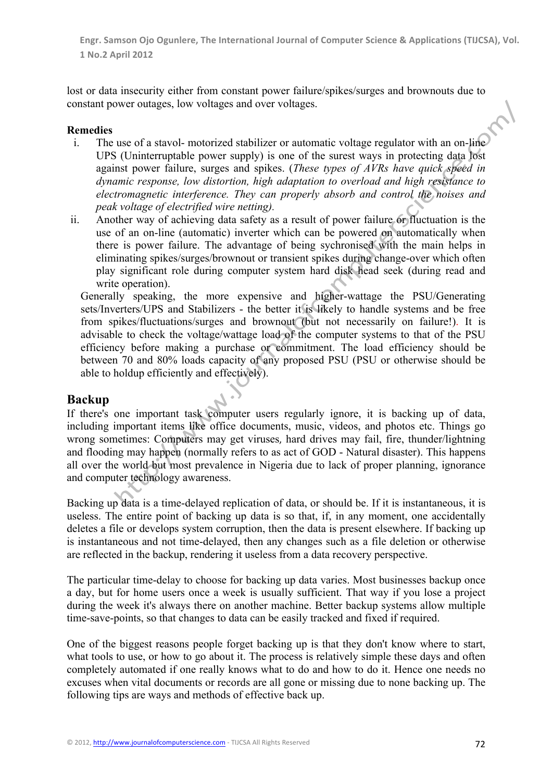lost or data insecurity either from constant power failure/spikes/surges and brownouts due to constant power outages, low voltages and over voltages.

#### **Remedies**

- i. The use of a stavol- motorized stabilizer or automatic voltage regulator with an on-line UPS (Uninterruptable power supply) is one of the surest ways in protecting data lost against power failure, surges and spikes. (*These types of AVRs have quick speed in dynamic response, low distortion, high adaptation to overload and high resistance to electromagnetic interference. They can properly absorb and control the noises and peak voltage of electrified wire netting).*
- ii. Another way of achieving data safety as a result of power failure or fluctuation is the use of an on-line (automatic) inverter which can be powered on automatically when there is power failure. The advantage of being sychronised with the main helps in eliminating spikes/surges/brownout or transient spikes during change-over which often play significant role during computer system hard disk head seek (during read and write operation).

Generally speaking, the more expensive and higher-wattage the PSU/Generating sets/Inverters/UPS and Stabilizers - the better it is likely to handle systems and be free from spikes/fluctuations/surges and brownout (but not necessarily on failure!). It is advisable to check the voltage/wattage load of the computer systems to that of the PSU efficiency before making a purchase or commitment. The load efficiency should be between 70 and 80% loads capacity of any proposed PSU (PSU or otherwise should be able to holdup efficiently and effectively).

### **Backup**

If there's one important task computer users regularly ignore, it is backing up of data, including important items like office documents, music, videos, and photos etc. Things go wrong sometimes: Computers may get viruses, hard drives may fail, fire, thunder/lightning and flooding may happen (normally refers to as act of GOD - Natural disaster). This happens all over the world but most prevalence in Nigeria due to lack of proper planning, ignorance and computer technology awareness.

Backing up data is a time-delayed replication of data, or should be. If it is instantaneous, it is useless. The entire point of backing up data is so that, if, in any moment, one accidentally deletes a file or develops system corruption, then the data is present elsewhere. If backing up is instantaneous and not time-delayed, then any changes such as a file deletion or otherwise are reflected in the backup, rendering it useless from a data recovery perspective.

The particular time-delay to choose for backing up data varies. Most businesses backup once a day, but for home users once a week is usually sufficient. That way if you lose a project during the week it's always there on another machine. Better backup systems allow multiple time-save-points, so that changes to data can be easily tracked and fixed if required.

One of the biggest reasons people forget backing up is that they don't know where to start, what tools to use, or how to go about it. The process is relatively simple these days and often completely automated if one really knows what to do and how to do it. Hence one needs no excuses when vital documents or records are all gone or missing due to none backing up. The following tips are ways and methods of effective back up.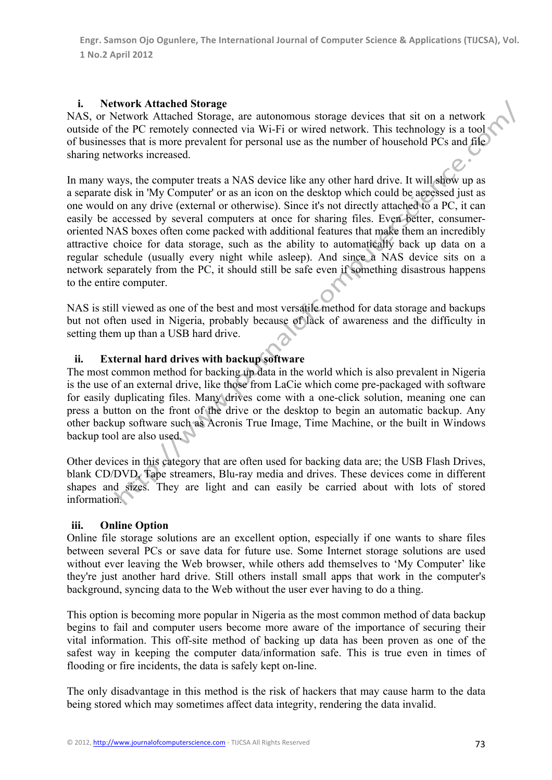## **i. Network Attached Storage**

NAS, or Network Attached Storage, are autonomous storage devices that sit on a network outside of the PC remotely connected via Wi-Fi or wired network. This technology is a tool of businesses that is more prevalent for personal use as the number of household PCs and file sharing networks increased.

In many ways, the computer treats a NAS device like any other hard drive. It will show up as a separate disk in 'My Computer' or as an icon on the desktop which could be accessed just as one would on any drive (external or otherwise). Since it's not directly attached to a PC, it can easily be accessed by several computers at once for sharing files. Even better, consumeroriented NAS boxes often come packed with additional features that make them an incredibly attractive choice for data storage, such as the ability to automatically back up data on a regular schedule (usually every night while asleep). And since a NAS device sits on a network separately from the PC, it should still be safe even if something disastrous happens to the entire computer.

NAS is still viewed as one of the best and most versatile method for data storage and backups but not often used in Nigeria, probably because of lack of awareness and the difficulty in setting them up than a USB hard drive.

# **ii. External hard drives with backup software**

The most common method for backing up data in the world which is also prevalent in Nigeria is the use of an external drive, like those from LaCie which come pre-packaged with software for easily duplicating files. Many drives come with a one-click solution, meaning one can press a button on the front of the drive or the desktop to begin an automatic backup. Any other backup software such as Acronis True Image, Time Machine, or the built in Windows backup tool are also used.

Other devices in this category that are often used for backing data are; the USB Flash Drives, blank CD/DVD, Tape streamers, Blu-ray media and drives. These devices come in different shapes and sizes. They are light and can easily be carried about with lots of stored information.

# **iii. Online Option**

Online file storage solutions are an excellent option, especially if one wants to share files between several PCs or save data for future use. Some Internet storage solutions are used without ever leaving the Web browser, while others add themselves to 'My Computer' like they're just another hard drive. Still others install small apps that work in the computer's background, syncing data to the Web without the user ever having to do a thing.

This option is becoming more popular in Nigeria as the most common method of data backup begins to fail and computer users become more aware of the importance of securing their vital information. This off-site method of backing up data has been proven as one of the safest way in keeping the computer data/information safe. This is true even in times of flooding or fire incidents, the data is safely kept on-line.

The only disadvantage in this method is the risk of hackers that may cause harm to the data being stored which may sometimes affect data integrity, rendering the data invalid.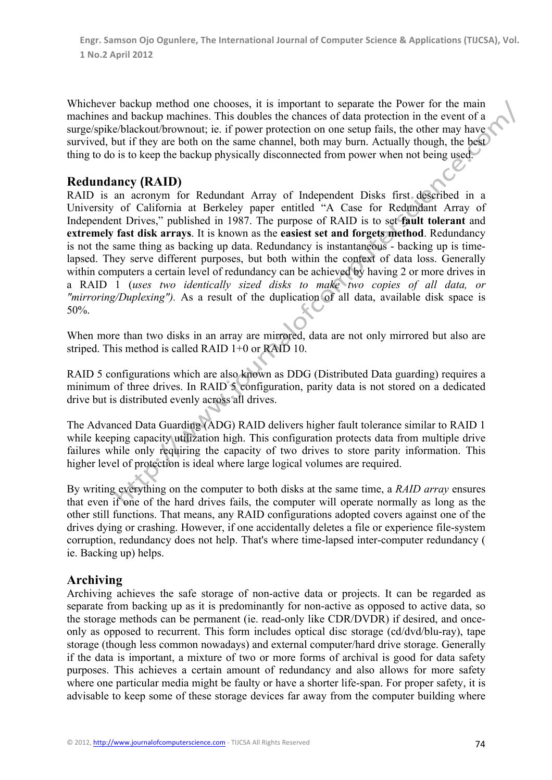Whichever backup method one chooses, it is important to separate the Power for the main machines and backup machines. This doubles the chances of data protection in the event of a surge/spike/blackout/brownout; ie. if power protection on one setup fails, the other may have survived, but if they are both on the same channel, both may burn. Actually though, the best thing to do is to keep the backup physically disconnected from power when not being used.

# **Redundancy (RAID)**

RAID is an acronym for Redundant Array of Independent Disks first described in a University of California at Berkeley paper entitled "A Case for Redundant Array of Independent Drives," published in 1987. The purpose of RAID is to set **fault tolerant** and **extremely fast disk arrays**. It is known as the **easiest set and forgets method**. Redundancy is not the same thing as backing up data. Redundancy is instantaneous - backing up is timelapsed. They serve different purposes, but both within the context of data loss. Generally within computers a certain level of redundancy can be achieved by having 2 or more drives in a RAID 1 (*uses two identically sized disks to make two copies of all data, or "mirroring/Duplexing").* As a result of the duplication of all data, available disk space is 50%.

When more than two disks in an array are mirrored, data are not only mirrored but also are striped. This method is called RAID 1+0 or RAID 10.

RAID 5 configurations which are also known as DDG (Distributed Data guarding) requires a minimum of three drives. In RAID 5 configuration, parity data is not stored on a dedicated drive but is distributed evenly across all drives.

The Advanced Data Guarding (ADG) RAID delivers higher fault tolerance similar to RAID 1 while keeping capacity utilization high. This configuration protects data from multiple drive failures while only requiring the capacity of two drives to store parity information. This higher level of protection is ideal where large logical volumes are required.

By writing everything on the computer to both disks at the same time, a *RAID array* ensures that even if one of the hard drives fails, the computer will operate normally as long as the other still functions. That means, any RAID configurations adopted covers against one of the drives dying or crashing. However, if one accidentally deletes a file or experience file-system corruption, redundancy does not help. That's where time-lapsed inter-computer redundancy ( ie. Backing up) helps.

# **Archiving**

Archiving achieves the safe storage of non-active data or projects. It can be regarded as separate from backing up as it is predominantly for non-active as opposed to active data, so the storage methods can be permanent (ie. read-only like CDR/DVDR) if desired, and onceonly as opposed to recurrent. This form includes optical disc storage (cd/dvd/blu-ray), tape storage (though less common nowadays) and external computer/hard drive storage. Generally if the data is important, a mixture of two or more forms of archival is good for data safety purposes. This achieves a certain amount of redundancy and also allows for more safety where one particular media might be faulty or have a shorter life-span. For proper safety, it is advisable to keep some of these storage devices far away from the computer building where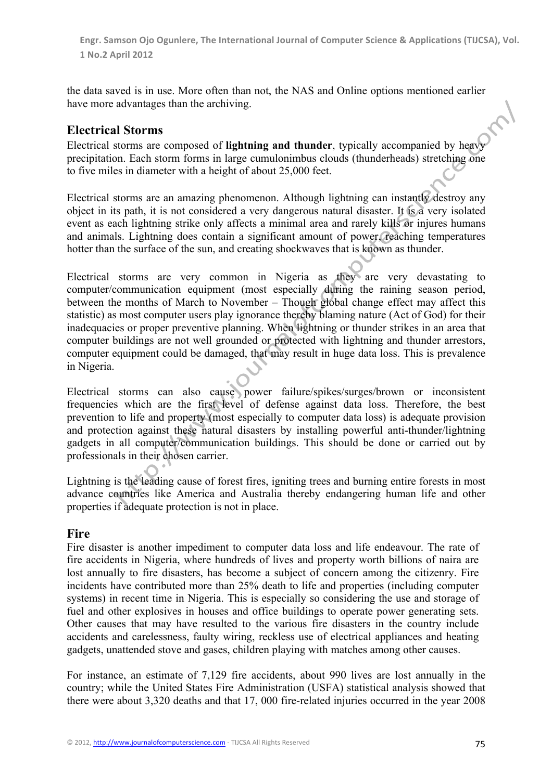the data saved is in use. More often than not, the NAS and Online options mentioned earlier have more advantages than the archiving.

# **Electrical Storms**

Electrical storms are composed of **lightning and thunder**, typically accompanied by heavy precipitation. Each storm forms in large cumulonimbus clouds (thunderheads) stretching one to five miles in diameter with a height of about 25,000 feet.

Electrical storms are an amazing phenomenon. Although lightning can instantly destroy any object in its path, it is not considered a very dangerous natural disaster. It is a very isolated event as each lightning strike only affects a minimal area and rarely kills or injures humans and animals. Lightning does contain a significant amount of power, reaching temperatures hotter than the surface of the sun, and creating shockwaves that is known as thunder.

Electrical storms are very common in Nigeria as they are very devastating to computer/communication equipment (most especially during the raining season period, between the months of March to November – Though global change effect may affect this statistic) as most computer users play ignorance thereby blaming nature (Act of God) for their inadequacies or proper preventive planning. When lightning or thunder strikes in an area that computer buildings are not well grounded or protected with lightning and thunder arrestors, computer equipment could be damaged, that may result in huge data loss. This is prevalence in Nigeria.

Electrical storms can also cause power failure/spikes/surges/brown or inconsistent frequencies which are the first level of defense against data loss. Therefore, the best prevention to life and property (most especially to computer data loss) is adequate provision and protection against these natural disasters by installing powerful anti-thunder/lightning gadgets in all computer/communication buildings. This should be done or carried out by professionals in their chosen carrier.

Lightning is the leading cause of forest fires, igniting trees and burning entire forests in most advance countries like America and Australia thereby endangering human life and other properties if adequate protection is not in place.

# **Fire**

Fire disaster is another impediment to computer data loss and life endeavour. The rate of fire accidents in Nigeria, where hundreds of lives and property worth billions of naira are lost annually to fire disasters, has become a subject of concern among the citizenry. Fire incidents have contributed more than 25% death to life and properties (including computer systems) in recent time in Nigeria. This is especially so considering the use and storage of fuel and other explosives in houses and office buildings to operate power generating sets. Other causes that may have resulted to the various fire disasters in the country include accidents and carelessness, faulty wiring, reckless use of electrical appliances and heating gadgets, unattended stove and gases, children playing with matches among other causes.

For instance, an estimate of 7,129 fire accidents, about 990 lives are lost annually in the country; while the United States Fire Administration (USFA) statistical analysis showed that there were about 3,320 deaths and that 17, 000 fire-related injuries occurred in the year 2008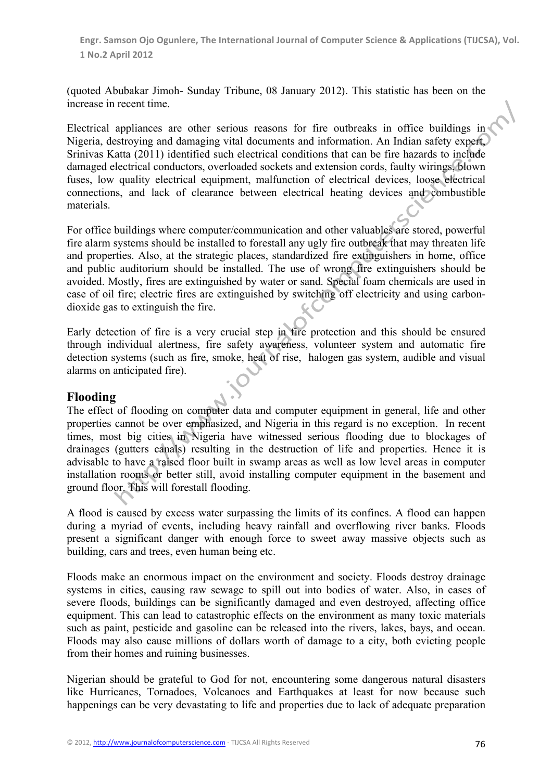(quoted Abubakar Jimoh- Sunday Tribune, 08 January 2012). This statistic has been on the increase in recent time.

Electrical appliances are other serious reasons for fire outbreaks in office buildings in Nigeria, destroying and damaging vital documents and information. An Indian safety expert, Srinivas Katta (2011) identified such electrical conditions that can be fire hazards to include damaged electrical conductors, overloaded sockets and extension cords, faulty wirings, blown fuses, low quality electrical equipment, malfunction of electrical devices, loose electrical connections, and lack of clearance between electrical heating devices and combustible materials.

For office buildings where computer/communication and other valuables are stored, powerful fire alarm systems should be installed to forestall any ugly fire outbreak that may threaten life and properties. Also, at the strategic places, standardized fire extinguishers in home, office and public auditorium should be installed. The use of wrong fire extinguishers should be avoided. Mostly, fires are extinguished by water or sand. Special foam chemicals are used in case of oil fire; electric fires are extinguished by switching off electricity and using carbondioxide gas to extinguish the fire.

Early detection of fire is a very crucial step in fire protection and this should be ensured through individual alertness, fire safety awareness, volunteer system and automatic fire detection systems (such as fire, smoke, heat of rise, halogen gas system, audible and visual alarms on anticipated fire).

# **Flooding**

The effect of flooding on computer data and computer equipment in general, life and other properties cannot be over emphasized, and Nigeria in this regard is no exception. In recent times, most big cities in Nigeria have witnessed serious flooding due to blockages of drainages (gutters canals) resulting in the destruction of life and properties. Hence it is advisable to have a raised floor built in swamp areas as well as low level areas in computer installation rooms or better still, avoid installing computer equipment in the basement and ground floor. This will forestall flooding.

A flood is caused by excess water surpassing the limits of its confines. A flood can happen during a myriad of events, including heavy rainfall and overflowing river banks. Floods present a significant danger with enough force to sweet away massive objects such as building, cars and trees, even human being etc.

Floods make an enormous impact on the environment and society. Floods destroy drainage systems in cities, causing raw sewage to spill out into bodies of water. Also, in cases of severe floods, buildings can be significantly damaged and even destroyed, affecting office equipment. This can lead to catastrophic effects on the environment as many toxic materials such as paint, pesticide and gasoline can be released into the rivers, lakes, bays, and ocean. Floods may also cause millions of dollars worth of damage to a city, both evicting people from their homes and ruining businesses.

Nigerian should be grateful to God for not, encountering some dangerous natural disasters like Hurricanes, Tornadoes, Volcanoes and Earthquakes at least for now because such happenings can be very devastating to life and properties due to lack of adequate preparation